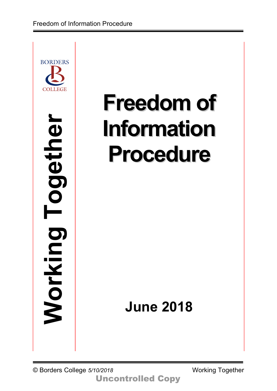

# **Freedom of Information Procedure**

# **June 2018**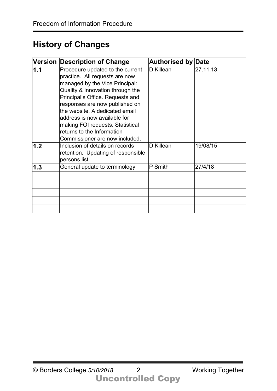# **History of Changes**

| <b>Version</b> | <b>Description of Change</b>                                                                                                                                                                                                                                                                                                                                                         | <b>Authorised by Date</b> |          |
|----------------|--------------------------------------------------------------------------------------------------------------------------------------------------------------------------------------------------------------------------------------------------------------------------------------------------------------------------------------------------------------------------------------|---------------------------|----------|
| 1.1            | Procedure updated to the current<br>practice. All requests are now<br>managed by the Vice Principal:<br>Quality & Innovation through the<br>Principal's Office. Requests and<br>responses are now published on<br>the website. A dedicated email<br>address is now available for<br>making FOI requests. Statistical<br>returns to the Information<br>Commissioner are now included. | D Killean                 | 27.11.13 |
| 1.2            | Inclusion of details on records<br>retention. Updating of responsible<br>persons list.                                                                                                                                                                                                                                                                                               | D Killean                 | 19/08/15 |
| 1.3            | General update to terminology                                                                                                                                                                                                                                                                                                                                                        | P Smith                   | 27/4/18  |
|                |                                                                                                                                                                                                                                                                                                                                                                                      |                           |          |
|                |                                                                                                                                                                                                                                                                                                                                                                                      |                           |          |
|                |                                                                                                                                                                                                                                                                                                                                                                                      |                           |          |
|                |                                                                                                                                                                                                                                                                                                                                                                                      |                           |          |
|                |                                                                                                                                                                                                                                                                                                                                                                                      |                           |          |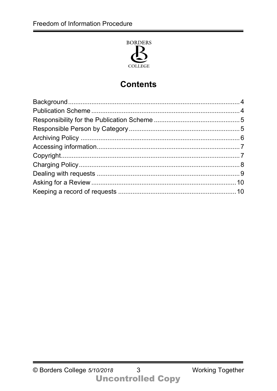

# **Contents**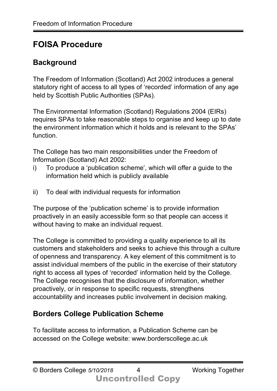# **FOISA Procedure**

#### **Background**

The Freedom of Information (Scotland) Act 2002 introduces a general statutory right of access to all types of 'recorded' information of any age held by Scottish Public Authorities (SPAs).

The Environmental Information (Scotland) Regulations 2004 (EIRs) requires SPAs to take reasonable steps to organise and keep up to date the environment information which it holds and is relevant to the SPAs' function.

The College has two main responsibilities under the Freedom of Information (Scotland) Act 2002:

- i) To produce a 'publication scheme', which will offer a guide to the information held which is publicly available
- ii) To deal with individual requests for information

The purpose of the 'publication scheme' is to provide information proactively in an easily accessible form so that people can access it without having to make an individual request.

The College is committed to providing a quality experience to all its customers and stakeholders and seeks to achieve this through a culture of openness and transparency. A key element of this commitment is to assist individual members of the public in the exercise of their statutory right to access all types of 'recorded' information held by the College. The College recognises that the disclosure of information, whether proactively, or in response to specific requests, strengthens accountability and increases public involvement in decision making.

#### **Borders College Publication Scheme**

To facilitate access to information, a Publication Scheme can be accessed on the College website: www.borderscollege.ac.uk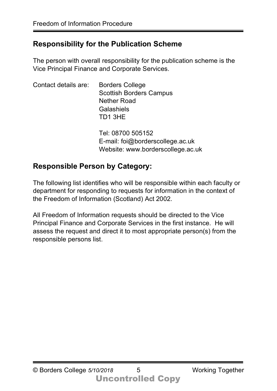#### **Responsibility for the Publication Scheme**

The person with overall responsibility for the publication scheme is the Vice Principal Finance and Corporate Services.

| Contact details are: | <b>Borders College</b><br><b>Scottish Borders Campus</b><br><b>Nether Road</b><br>Galashiels<br>TD1 3HE |  |
|----------------------|---------------------------------------------------------------------------------------------------------|--|
|                      | Tel: 08700 505152                                                                                       |  |

E-mail: foi@borderscollege.ac.uk Website: www.borderscollege.ac.uk

#### **Responsible Person by Category:**

The following list identifies who will be responsible within each faculty or department for responding to requests for information in the context of the Freedom of Information (Scotland) Act 2002.

All Freedom of Information requests should be directed to the Vice Principal Finance and Corporate Services in the first instance. He will assess the request and direct it to most appropriate person(s) from the responsible persons list.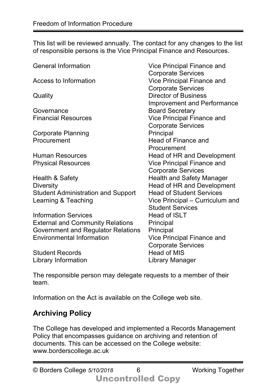This list will be reviewed annually. The contact for any changes to the list of responsible persons is the Vice Principal Finance and Resources.

| <b>General Information</b>                | <b>Vice Principal Finance and</b>  |
|-------------------------------------------|------------------------------------|
|                                           | <b>Corporate Services</b>          |
| Access to Information                     | <b>Vice Principal Finance and</b>  |
|                                           | <b>Corporate Services</b>          |
| Quality                                   | <b>Director of Business</b>        |
|                                           | <b>Improvement and Performance</b> |
| Governance                                | <b>Board Secretary</b>             |
| <b>Financial Resources</b>                | <b>Vice Principal Finance and</b>  |
|                                           | <b>Corporate Services</b>          |
| <b>Corporate Planning</b>                 | Principal                          |
| Procurement                               | <b>Head of Finance and</b>         |
|                                           | Procurement                        |
| <b>Human Resources</b>                    | <b>Head of HR and Development</b>  |
| <b>Physical Resources</b>                 | <b>Vice Principal Finance and</b>  |
|                                           | <b>Corporate Services</b>          |
| Health & Safety                           | <b>Health and Safety Manager</b>   |
| <b>Diversity</b>                          | Head of HR and Development         |
| <b>Student Administration and Support</b> | <b>Head of Student Services</b>    |
| Learning & Teaching                       | Vice Principal – Curriculum and    |
|                                           | <b>Student Services</b>            |
| <b>Information Services</b>               | <b>Head of ISLT</b>                |
| <b>External and Community Relations</b>   | Principal                          |
| Government and Regulator Relations        | Principal                          |
| <b>Environmental Information</b>          | Vice Principal Finance and         |
|                                           | <b>Corporate Services</b>          |
| <b>Student Records</b>                    | <b>Head of MIS</b>                 |
| Library Information                       | Library Manager                    |
|                                           |                                    |

The responsible person may delegate requests to a member of their team.

Information on the Act is available on the College web site.

#### **Archiving Policy**

The College has developed and implemented a Records Management Policy that encompasses guidance on archiving and retention of documents. This can be accessed on the College website: www.borderscollege.ac.uk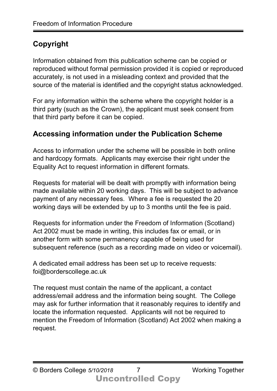# **Copyright**

Information obtained from this publication scheme can be copied or reproduced without formal permission provided it is copied or reproduced accurately, is not used in a misleading context and provided that the source of the material is identified and the copyright status acknowledged.

For any information within the scheme where the copyright holder is a third party (such as the Crown), the applicant must seek consent from that third party before it can be copied.

#### **Accessing information under the Publication Scheme**

Access to information under the scheme will be possible in both online and hardcopy formats. Applicants may exercise their right under the Equality Act to request information in different formats.

Requests for material will be dealt with promptly with information being made available within 20 working days. This will be subject to advance payment of any necessary fees. Where a fee is requested the 20 working days will be extended by up to 3 months until the fee is paid.

Requests for information under the Freedom of Information (Scotland) Act 2002 must be made in writing, this includes fax or email, or in another form with some permanency capable of being used for subsequent reference (such as a recording made on video or voicemail).

A dedicated email address has been set up to receive requests: foi@borderscollege.ac.uk

The request must contain the name of the applicant, a contact address/email address and the information being sought. The College may ask for further information that it reasonably requires to identify and locate the information requested. Applicants will not be required to mention the Freedom of Information (Scotland) Act 2002 when making a request.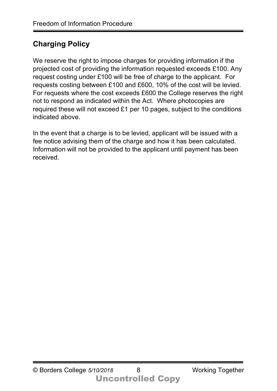#### **Charging Policy**

We reserve the right to impose charges for providing information if the projected cost of providing the information requested exceeds £100. Any request costing under £100 will be free of charge to the applicant. For requests costing between £100 and £600, 10% of the cost will be levied. For requests where the cost exceeds £600 the College reserves the right not to respond as indicated within the Act. Where photocopies are required these will not exceed £1 per 10 pages, subject to the conditions indicated above.

In the event that a charge is to be levied, applicant will be issued with a fee notice advising them of the charge and how it has been calculated. Information will not be provided to the applicant until payment has been received.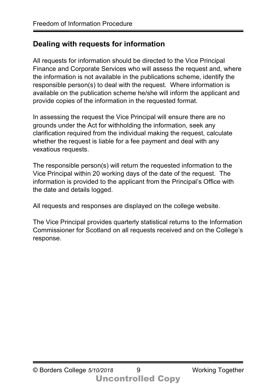#### **Dealing with requests for information**

All requests for information should be directed to the Vice Principal Finance and Corporate Services who will assess the request and, where the information is not available in the publications scheme, identify the responsible person(s) to deal with the request. Where information is available on the publication scheme he/she will inform the applicant and provide copies of the information in the requested format.

In assessing the request the Vice Principal will ensure there are no grounds under the Act for withholding the information, seek any clarification required from the individual making the request, calculate whether the request is liable for a fee payment and deal with any vexatious requests.

The responsible person(s) will return the requested information to the Vice Principal within 20 working days of the date of the request. The information is provided to the applicant from the Principal's Office with the date and details logged.

All requests and responses are displayed on the college website.

The Vice Principal provides quarterly statistical returns to the Information Commissioner for Scotland on all requests received and on the College's response.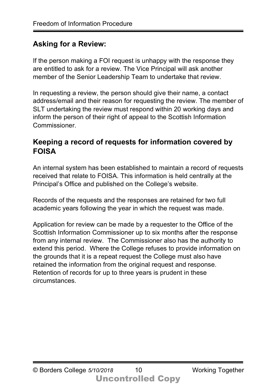#### **Asking for a Review:**

If the person making a FOI request is unhappy with the response they are entitled to ask for a review. The Vice Principal will ask another member of the Senior Leadership Team to undertake that review.

In requesting a review, the person should give their name, a contact address/email and their reason for requesting the review. The member of SLT undertaking the review must respond within 20 working days and inform the person of their right of appeal to the Scottish Information Commissioner.

#### **Keeping a record of requests for information covered by FOISA**

An internal system has been established to maintain a record of requests received that relate to FOISA. This information is held centrally at the Principal's Office and published on the College's website.

Records of the requests and the responses are retained for two full academic years following the year in which the request was made.

Application for review can be made by a requester to the Office of the Scottish Information Commissioner up to six months after the response from any internal review. The Commissioner also has the authority to extend this period. Where the College refuses to provide information on the grounds that it is a repeat request the College must also have retained the information from the original request and response. Retention of records for up to three years is prudent in these circumstances.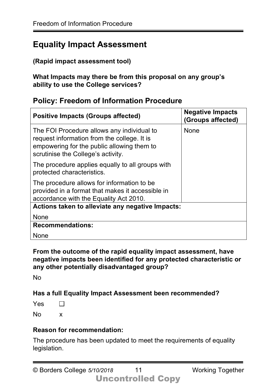### **Equality Impact Assessment**

#### **(Rapid impact assessment tool)**

**What Impacts may there be from this proposal on any group's ability to use the College services?** 

#### **Policy: Freedom of Information Procedure**

| <b>Positive Impacts (Groups affected)</b>                                                                                                                                     | <b>Negative Impacts</b><br>(Groups affected) |  |
|-------------------------------------------------------------------------------------------------------------------------------------------------------------------------------|----------------------------------------------|--|
| The FOI Procedure allows any individual to<br>request information from the college. It is<br>empowering for the public allowing them to<br>scrutinise the College's activity. | <b>None</b>                                  |  |
| The procedure applies equally to all groups with<br>protected characteristics.                                                                                                |                                              |  |
| The procedure allows for information to be<br>provided in a format that makes it accessible in<br>accordance with the Equality Act 2010.                                      |                                              |  |
| Actions taken to alleviate any negative Impacts:                                                                                                                              |                                              |  |
| <b>None</b>                                                                                                                                                                   |                                              |  |
| <b>Recommendations:</b>                                                                                                                                                       |                                              |  |
| None                                                                                                                                                                          |                                              |  |

#### **From the outcome of the rapid equality impact assessment, have negative impacts been identified for any protected characteristic or any other potentially disadvantaged group?**

No

#### **Has a full Equality Impact Assessment been recommended?**

No x

#### **Reason for recommendation:**

The procedure has been updated to meet the requirements of equality legislation.